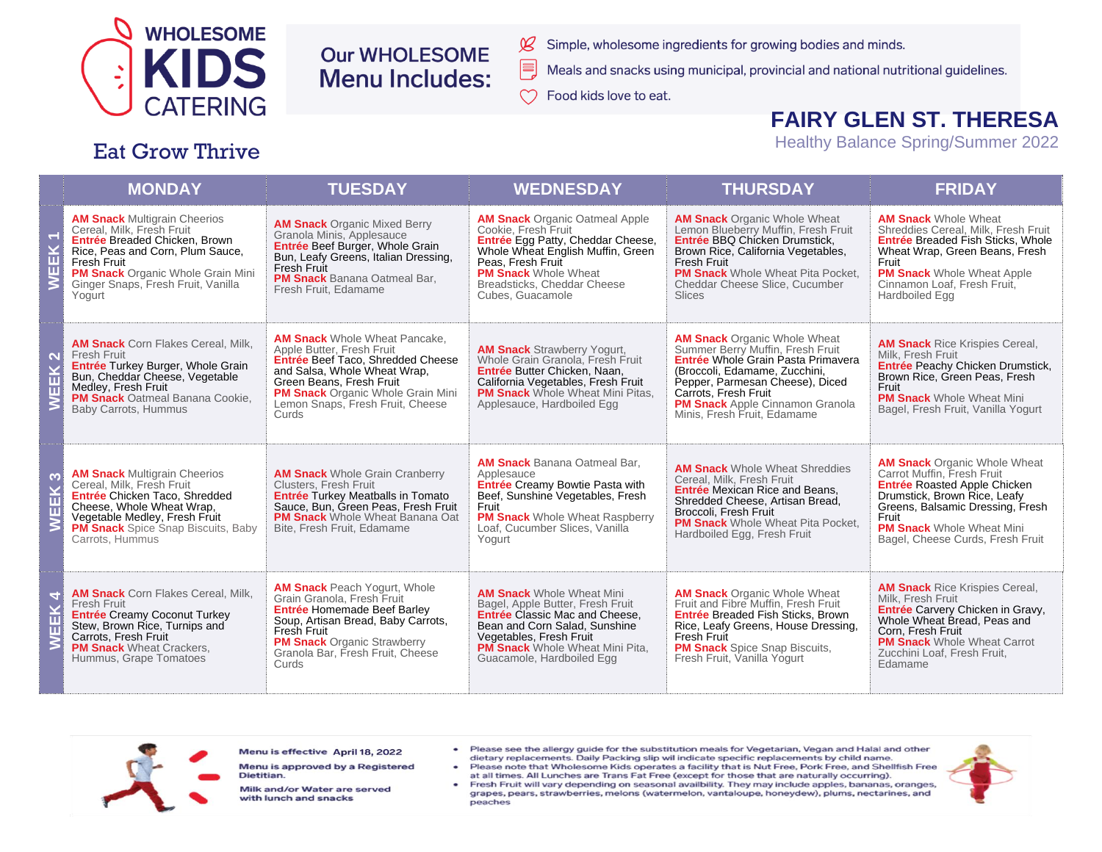

**Eat Grow Thrive** 

# **Our WHOLESOME Menu Includes:**

- Simple, wholesome ingredients for growing bodies and minds.
- Meals and snacks using municipal, provincial and national nutritional guidelines.
- Food kids love to eat.

# **FAIRY GLEN ST. THERESA**

**Healthy Balance Spring/Summer 2022** 

### **THURSDAY MONDAY TUESDAY WEDNESDAY FRIDAY AM Snack Multigrain Cheerios AM Snack** Organic Oatmeal Apple **AM Snack** Organic Whole Wheat **AM Snack Whole Wheat AM Snack Organic Mixed Berry** Cereal, Milk, Fresh Fruit Shreddies Cereal, Milk, Fresh Fruit Cookie. Fresh Fruit Lemon Blueberry Muffin, Fresh Fruit Granola Minis. Applesauce EK<sub>1</sub> Entrée Breaded Chicken, Brown Entrée Egg Patty, Cheddar Cheese, Entrée BBQ Chicken Drumstick, **Entrée Breaded Fish Sticks, Whole** Entrée Beef Burger, Whole Grain Rice, Peas and Corn. Plum Sauce. Whole Wheat English Muffin, Green Brown Rice, California Vegetables, Wheat Wrap, Green Beans, Fresh Bun, Leafy Greens, Italian Dressing. Fresh Fruit Peas. Fresh Fruit Fresh Fruit Fruit Fresh Fruit 面 **PM Snack Organic Whole Grain Mini PM Snack Whole Wheat PM Snack** Whole Wheat Pita Pocket, **PM Snack Whole Wheat Apple** PM Snack Banana Oatmeal Bar.  $\geq$ Ginger Snaps, Fresh Fruit, Vanilla Breadsticks, Cheddar Cheese Cheddar Cheese Slice, Cucumber Cinnamon Loaf, Fresh Fruit, Fresh Fruit, Edamame Yogurt Cubes, Guacamole **Slices** Hardboiled Egg **AM Snack** Whole Wheat Pancake **AM Snack Organic Whole Wheat AM Snack** Corn Flakes Cereal, Milk. **AM Snack** Rice Krispies Cereal. Apple Butter, Fresh Fruit Summer Berry Muffin, Fresh Fruit **AM Snack** Strawberry Yogurt, Fresh Fruit Milk. Fresh Fruit  $\overline{\mathbf{N}}$ Entrée Beef Taco, Shredded Cheese Entrée Whole Grain Pasta Primavera Whole Grain Granola. Fresh Fruit Entrée Turkey Burger, Whole Grain Entrée Peachy Chicken Drumstick. у<br>Ек and Salsa, Whole Wheat Wrap, Entrée Butter Chicken, Naan, (Broccoli, Edamame, Zucchini, Bun, Cheddar Cheese, Vegetable Brown Rice, Green Peas, Fresh Green Beans, Fresh Fruit California Vegetables, Fresh Fruit Pepper, Parmesan Cheese), Diced Medley, Fresh Fruit Fruit Ш **PM Snack** Organic Whole Grain Mini **PM Snack** Whole Wheat Mini Pitas, Carrots, Fresh Fruit PM Snack Oatmeal Banana Cookie, **PM Snack Whole Wheat Mini**  $\overline{\mathsf{z}}$ Lemon Snaps. Fresh Fruit. Cheese Applesauce, Hardboiled Egg **PM Snack** Apple Cinnamon Granola Baby Carrots, Hummus Bagel, Fresh Fruit, Vanilla Yogurt Curds Minis, Fresh Fruit, Edamame **AM Snack** Banana Oatmeal Bar, **AM Snack Organic Whole Wheat AM Snack** Whole Wheat Shreddies **AM Snack Multigrain Cheerios**<br>Cereal, Milk, Fresh Fruit Carrot Muffin, Fresh Fruit **AM Snack** Whole Grain Cranberry Applesauce EEK<sub>3</sub> Cereal, Milk, Fresh Fruit Clusters, Fresh Fruit Entrée Creamy Bowtie Pasta with Entrée Roasted Apple Chicken **Entrée** Mexican Rice and Beans, Entrée Chicken Taco, Shredded **Entrée Turkey Meatballs in Tomato** Beef, Sunshine Vegetables, Fresh Drumstick, Brown Rice, Leafy Shredded Cheese, Artisan Bread. Cheese, Whole Wheat Wrap, Sauce, Bun, Green Peas, Fresh Fruit Fruit Greens, Balsamic Dressing, Fresh Broccoli, Fresh Fruit Vegetable Medley, Fresh Fruit **PM Snack** Whole Wheat Banana Oat **PM Snack** Whole Wheat Raspberry Fruit ξ PM Snack Whole Wheat Pita Pocket. **PM Snack** Spice Snap Biscuits, Baby Bite, Fresh Fruit, Edamame Loaf, Cucumber Slices, Vanilla **PM Snack Whole Wheat Mini** Hardboiled Egg, Fresh Fruit Carrots, Hummus Yogurt Bagel, Cheese Curds, Fresh Fruit **AM Snack Peach Yogurt. Whole AM Snack** Rice Krispies Cereal. **AM Snack** Corn Flakes Cereal, Milk. **AM Snack Whole Wheat Mini AM Snack Organic Whole Wheat** EEK 4 Grain Granola, Fresh Fruit Milk, Fresh Fruit Bagel, Apple Butter, Fresh Fruit Fruit and Fibre Muffin. Fresh Fruit **Fresh Fruit** Entrée Carvery Chicken in Gravy. **Entrée Homemade Beef Barley** Entrée Creamy Coconut Turkey Entrée Classic Mac and Cheese. Entrée Breaded Fish Sticks, Brown Soup, Artisan Bread, Baby Carrots, Whole Wheat Bread, Peas and Stew, Brown Rice, Turnips and Bean and Corn Salad, Sunshine Rice, Leafy Greens, House Dressing, Fresh Fruit Corn. Fresh Fruit Carrots. Fresh Fruit Vegetables, Fresh Fruit Fresh Fruit **PM Snack** Whole Wheat Carrot  $\geq$ **PM Snack Organic Strawberry PM Snack Wheat Crackers, PM Snack** Whole Wheat Mini Pita, **PM Snack** Spice Snap Biscuits, Granola Bar, Fresh Fruit, Cheese Zucchini Loaf, Fresh Fruit, Hummus, Grape Tomatoes Guacamole, Hardboiled Egg Fresh Fruit, Vanilla Yogurt Curds Edamame



Menu is effective April 18, 2022

Menu is approved by a Registered Dietitian.

Milk and/or Water are served with lunch and snacks

- Please see the allergy guide for the substitution meals for Vegetarian, Vegan and Halal and other dietary replacements. Daily Packing slip wil indicate specific replacements by child name.
- Please note that Wholesome Kids operates a facility that is Nut Free, Pork Free, and Shellfish Free at all times. All Lunches are Trans Fat Free (except for those that are naturally occurring).
- Fresh Fruit will vary depending on seasonal availbility. They may include apples, bananas, oranges, grapes, pears, strawberries, melons (watermelon, vantaloupe, honeydew), plums, nectarines, and peaches